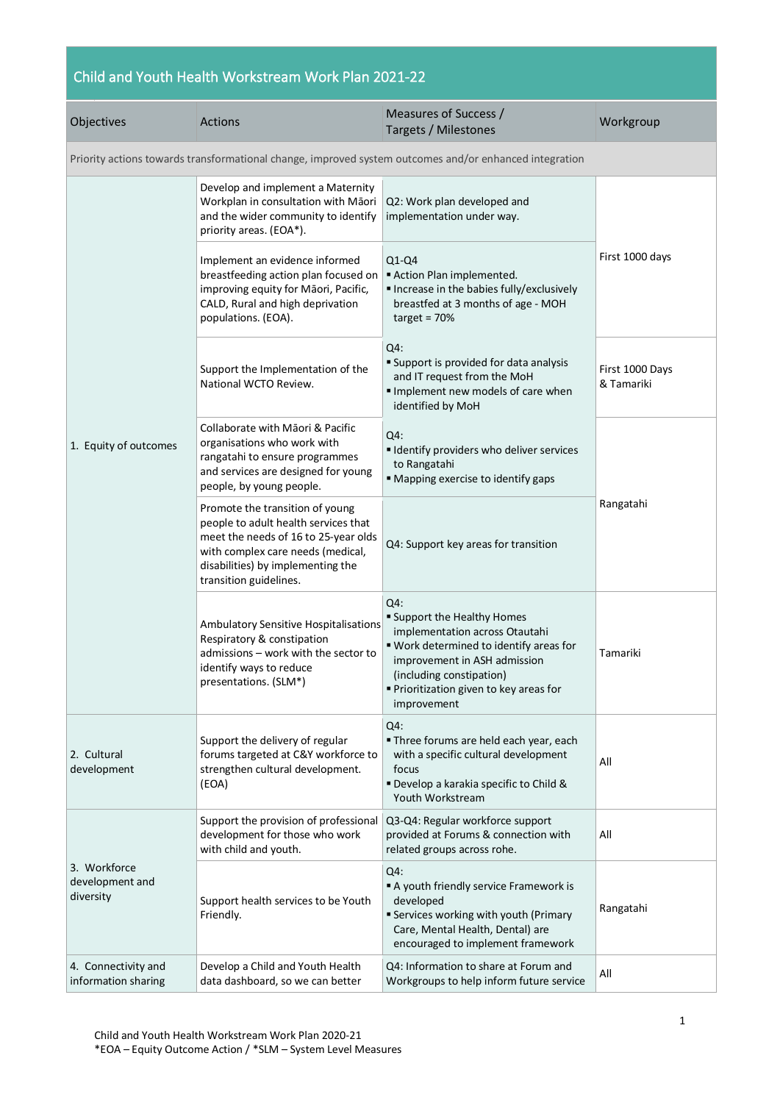| Child and Youth Health Workstream Work Plan 2021-22                                                    |                                                                                                                                                                                                                     |                                                                                                                                                                                                                                       |                               |  |  |
|--------------------------------------------------------------------------------------------------------|---------------------------------------------------------------------------------------------------------------------------------------------------------------------------------------------------------------------|---------------------------------------------------------------------------------------------------------------------------------------------------------------------------------------------------------------------------------------|-------------------------------|--|--|
| Objectives                                                                                             | <b>Actions</b>                                                                                                                                                                                                      | Measures of Success /<br>Targets / Milestones                                                                                                                                                                                         | Workgroup                     |  |  |
| Priority actions towards transformational change, improved system outcomes and/or enhanced integration |                                                                                                                                                                                                                     |                                                                                                                                                                                                                                       |                               |  |  |
| 1. Equity of outcomes                                                                                  | Develop and implement a Maternity<br>Workplan in consultation with Māori<br>and the wider community to identify<br>priority areas. (EOA*).                                                                          | Q2: Work plan developed and<br>implementation under way.                                                                                                                                                                              | First 1000 days               |  |  |
|                                                                                                        | Implement an evidence informed<br>breastfeeding action plan focused on<br>improving equity for Māori, Pacific,<br>CALD, Rural and high deprivation<br>populations. (EOA).                                           | $Q1-Q4$<br>Action Plan implemented.<br>Increase in the babies fully/exclusively<br>breastfed at 3 months of age - MOH<br>target = $70%$                                                                                               |                               |  |  |
|                                                                                                        | Support the Implementation of the<br>National WCTO Review.                                                                                                                                                          | $Q4$ :<br><b>Support is provided for data analysis</b><br>and IT request from the MoH<br>Implement new models of care when<br>identified by MoH                                                                                       | First 1000 Days<br>& Tamariki |  |  |
|                                                                                                        | Collaborate with Māori & Pacific<br>organisations who work with<br>rangatahi to ensure programmes<br>and services are designed for young<br>people, by young people.                                                | Q4:<br>Identify providers who deliver services<br>to Rangatahi<br>" Mapping exercise to identify gaps                                                                                                                                 | Rangatahi                     |  |  |
|                                                                                                        | Promote the transition of young<br>people to adult health services that<br>meet the needs of 16 to 25-year olds<br>with complex care needs (medical,<br>disabilities) by implementing the<br>transition guidelines. | Q4: Support key areas for transition                                                                                                                                                                                                  |                               |  |  |
|                                                                                                        | Ambulatory Sensitive Hospitalisations<br>Respiratory & constipation<br>admissions - work with the sector to<br>identify ways to reduce<br>presentations. (SLM*)                                                     | Q4:<br>" Support the Healthy Homes<br>implementation across Otautahi<br>" Work determined to identify areas for<br>improvement in ASH admission<br>(including constipation)<br>" Prioritization given to key areas for<br>improvement | Tamariki                      |  |  |
| 2. Cultural<br>development                                                                             | Support the delivery of regular<br>forums targeted at C&Y workforce to<br>strengthen cultural development.<br>(EOA)                                                                                                 | $Q4$ :<br>Three forums are held each year, each<br>with a specific cultural development<br>focus<br>" Develop a karakia specific to Child &<br>Youth Workstream                                                                       | All                           |  |  |
| 3. Workforce<br>development and<br>diversity                                                           | Support the provision of professional<br>development for those who work<br>with child and youth.                                                                                                                    | Q3-Q4: Regular workforce support<br>provided at Forums & connection with<br>related groups across rohe.                                                                                                                               | All                           |  |  |
|                                                                                                        | Support health services to be Youth<br>Friendly.                                                                                                                                                                    | $Q4$ :<br>A youth friendly service Framework is<br>developed<br><b>Services working with youth (Primary</b><br>Care, Mental Health, Dental) are<br>encouraged to implement framework                                                  | Rangatahi                     |  |  |
| 4. Connectivity and<br>information sharing                                                             | Develop a Child and Youth Health<br>data dashboard, so we can better                                                                                                                                                | Q4: Information to share at Forum and<br>Workgroups to help inform future service                                                                                                                                                     | All                           |  |  |